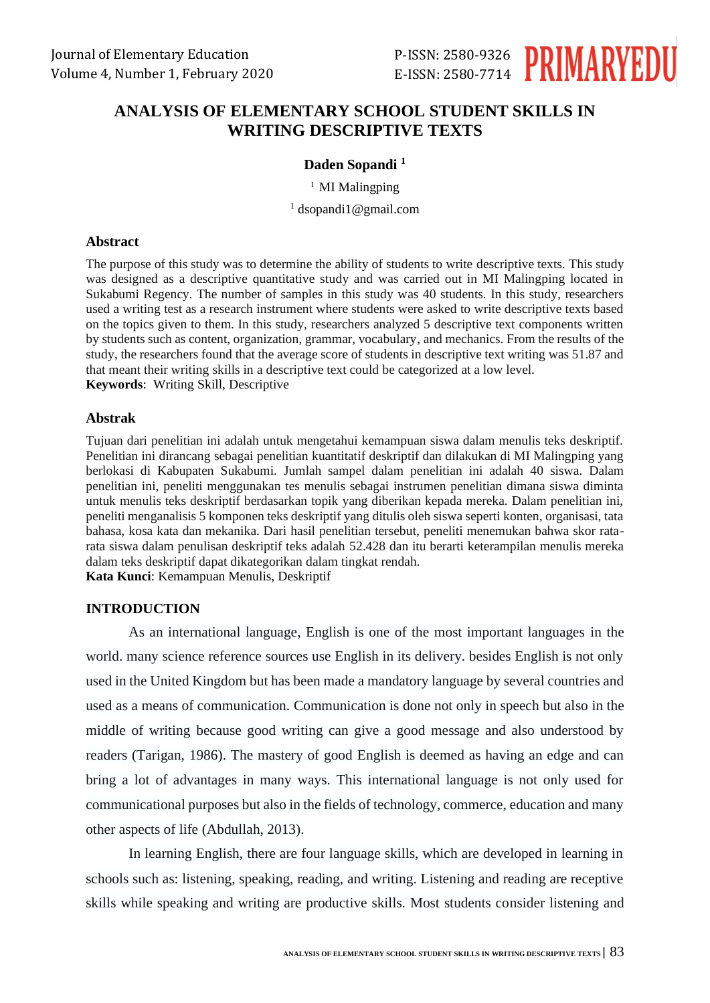

# **ANALYSIS OF ELEMENTARY SCHOOL STUDENT SKILLS IN WRITING DESCRIPTIVE TEXTS**

## **Daden Sopandi <sup>1</sup>**

<sup>1</sup> MI Malingping <sup>1</sup> dsopandi1@gmail.com

## **Abstract**

The purpose of this study was to determine the ability of students to write descriptive texts. This study was designed as a descriptive quantitative study and was carried out in MI Malingping located in Sukabumi Regency. The number of samples in this study was 40 students. In this study, researchers used a writing test as a research instrument where students were asked to write descriptive texts based on the topics given to them. In this study, researchers analyzed 5 descriptive text components written by students such as content, organization, grammar, vocabulary, and mechanics. From the results of the study, the researchers found that the average score of students in descriptive text writing was 51.87 and that meant their writing skills in a descriptive text could be categorized at a low level. **Keywords**: Writing Skill, Descriptive

## **Abstrak**

Tujuan dari penelitian ini adalah untuk mengetahui kemampuan siswa dalam menulis teks deskriptif. Penelitian ini dirancang sebagai penelitian kuantitatif deskriptif dan dilakukan di MI Malingping yang berlokasi di Kabupaten Sukabumi. Jumlah sampel dalam penelitian ini adalah 40 siswa. Dalam penelitian ini, peneliti menggunakan tes menulis sebagai instrumen penelitian dimana siswa diminta untuk menulis teks deskriptif berdasarkan topik yang diberikan kepada mereka. Dalam penelitian ini, peneliti menganalisis 5 komponen teks deskriptif yang ditulis oleh siswa seperti konten, organisasi, tata bahasa, kosa kata dan mekanika. Dari hasil penelitian tersebut, peneliti menemukan bahwa skor ratarata siswa dalam penulisan deskriptif teks adalah 52.428 dan itu berarti keterampilan menulis mereka dalam teks deskriptif dapat dikategorikan dalam tingkat rendah. **Kata Kunci**: Kemampuan Menulis, Deskriptif

## **INTRODUCTION**

As an international language, English is one of the most important languages in the world. many science reference sources use English in its delivery. besides English is not only used in the United Kingdom but has been made a mandatory language by several countries and used as a means of communication. Communication is done not only in speech but also in the middle of writing because good writing can give a good message and also understood by readers (Tarigan, 1986). The mastery of good English is deemed as having an edge and can bring a lot of advantages in many ways. This international language is not only used for communicational purposes but also in the fields of technology, commerce, education and many other aspects of life (Abdullah, 2013).

In learning English, there are four language skills, which are developed in learning in schools such as: listening, speaking, reading, and writing. Listening and reading are receptive skills while speaking and writing are productive skills. Most students consider listening and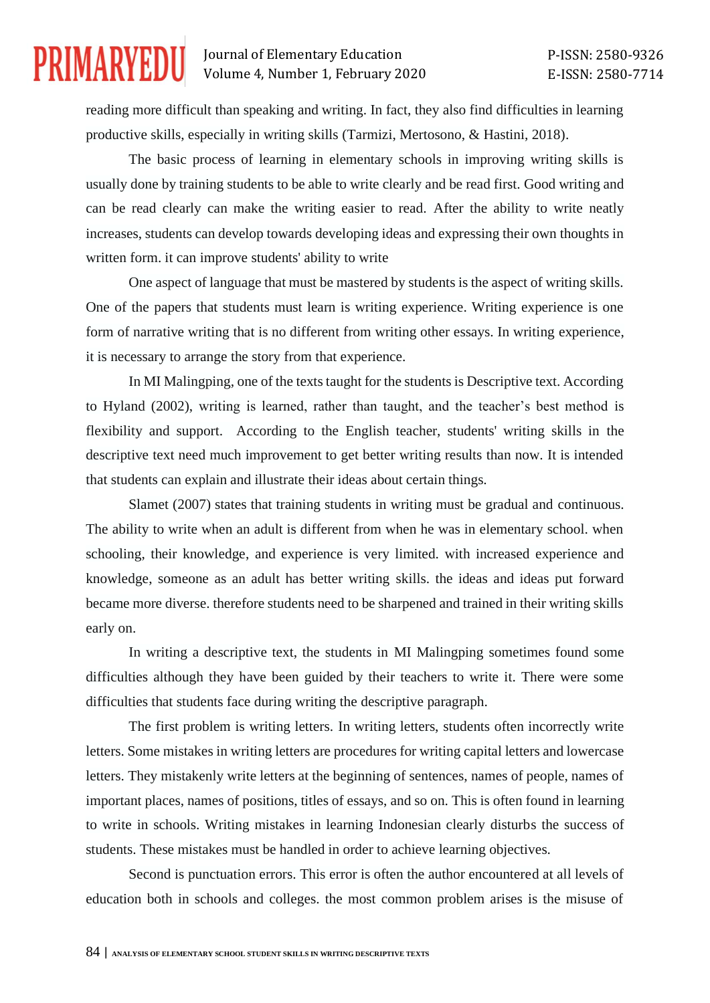# **PRIMARYEDU**

# Journal of Elementary Education Volume 4, Number 1, February 2020

reading more difficult than speaking and writing. In fact, they also find difficulties in learning productive skills, especially in writing skills (Tarmizi, Mertosono, & Hastini, 2018).

The basic process of learning in elementary schools in improving writing skills is usually done by training students to be able to write clearly and be read first. Good writing and can be read clearly can make the writing easier to read. After the ability to write neatly increases, students can develop towards developing ideas and expressing their own thoughts in written form. it can improve students' ability to write

One aspect of language that must be mastered by students is the aspect of writing skills. One of the papers that students must learn is writing experience. Writing experience is one form of narrative writing that is no different from writing other essays. In writing experience, it is necessary to arrange the story from that experience.

In MI Malingping, one of the texts taught for the students is Descriptive text. According to Hyland (2002), writing is learned, rather than taught, and the teacher's best method is flexibility and support. According to the English teacher, students' writing skills in the descriptive text need much improvement to get better writing results than now. It is intended that students can explain and illustrate their ideas about certain things.

Slamet (2007) states that training students in writing must be gradual and continuous. The ability to write when an adult is different from when he was in elementary school. when schooling, their knowledge, and experience is very limited. with increased experience and knowledge, someone as an adult has better writing skills. the ideas and ideas put forward became more diverse. therefore students need to be sharpened and trained in their writing skills early on.

In writing a descriptive text, the students in MI Malingping sometimes found some difficulties although they have been guided by their teachers to write it. There were some difficulties that students face during writing the descriptive paragraph.

The first problem is writing letters. In writing letters, students often incorrectly write letters. Some mistakes in writing letters are procedures for writing capital letters and lowercase letters. They mistakenly write letters at the beginning of sentences, names of people, names of important places, names of positions, titles of essays, and so on. This is often found in learning to write in schools. Writing mistakes in learning Indonesian clearly disturbs the success of students. These mistakes must be handled in order to achieve learning objectives.

Second is punctuation errors. This error is often the author encountered at all levels of education both in schools and colleges. the most common problem arises is the misuse of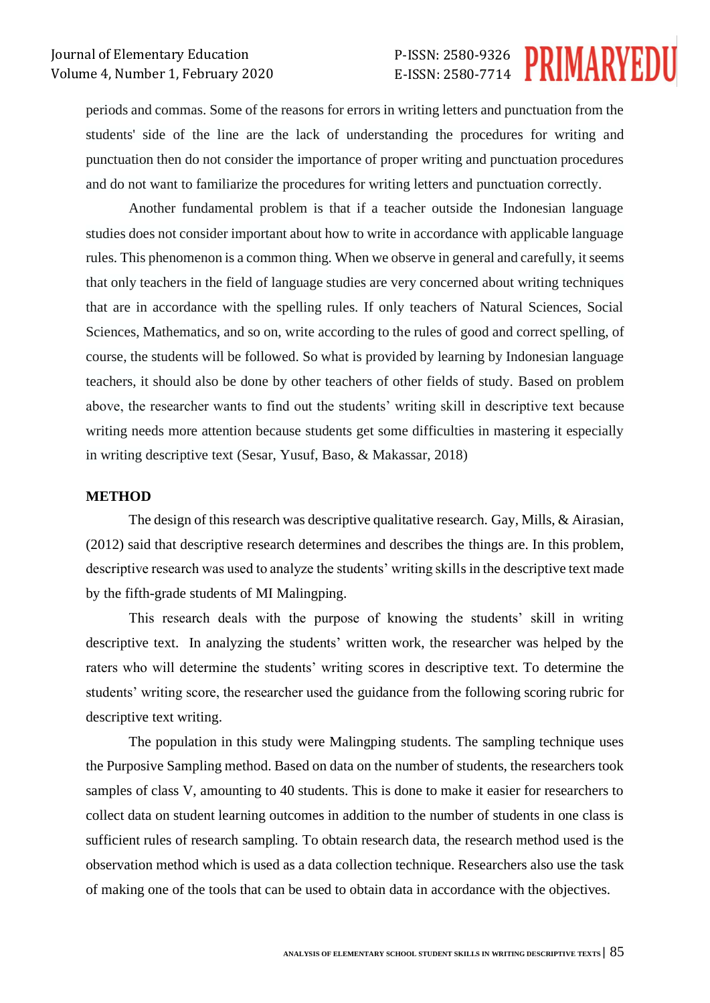# P-ISSN: 2580-9326 E-ISSN: 2580-7714

periods and commas. Some of the reasons for errors in writing letters and punctuation from the students' side of the line are the lack of understanding the procedures for writing and punctuation then do not consider the importance of proper writing and punctuation procedures and do not want to familiarize the procedures for writing letters and punctuation correctly.

Another fundamental problem is that if a teacher outside the Indonesian language studies does not consider important about how to write in accordance with applicable language rules. This phenomenon is a common thing. When we observe in general and carefully, it seems that only teachers in the field of language studies are very concerned about writing techniques that are in accordance with the spelling rules. If only teachers of Natural Sciences, Social Sciences, Mathematics, and so on, write according to the rules of good and correct spelling, of course, the students will be followed. So what is provided by learning by Indonesian language teachers, it should also be done by other teachers of other fields of study. Based on problem above, the researcher wants to find out the students' writing skill in descriptive text because writing needs more attention because students get some difficulties in mastering it especially in writing descriptive text (Sesar, Yusuf, Baso, & Makassar, 2018)

#### **METHOD**

The design of this research was descriptive qualitative research. Gay, Mills, & Airasian, (2012) said that descriptive research determines and describes the things are. In this problem, descriptive research was used to analyze the students' writing skills in the descriptive text made by the fifth-grade students of MI Malingping.

This research deals with the purpose of knowing the students' skill in writing descriptive text. In analyzing the students' written work, the researcher was helped by the raters who will determine the students' writing scores in descriptive text. To determine the students' writing score, the researcher used the guidance from the following scoring rubric for descriptive text writing.

The population in this study were Malingping students. The sampling technique uses the Purposive Sampling method. Based on data on the number of students, the researchers took samples of class V, amounting to 40 students. This is done to make it easier for researchers to collect data on student learning outcomes in addition to the number of students in one class is sufficient rules of research sampling. To obtain research data, the research method used is the observation method which is used as a data collection technique. Researchers also use the task of making one of the tools that can be used to obtain data in accordance with the objectives.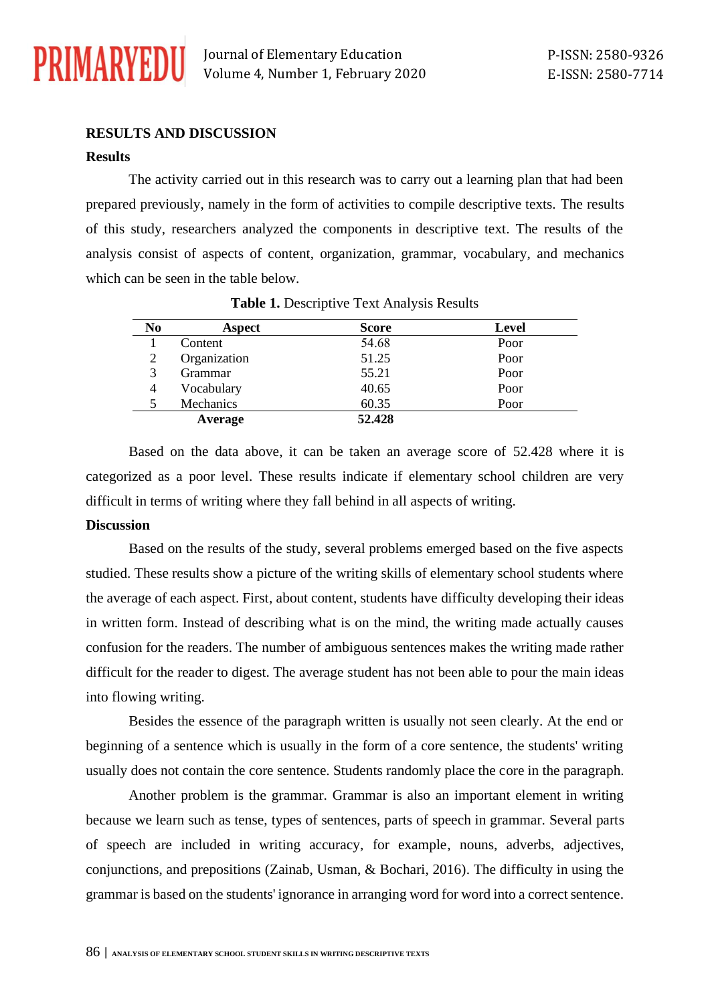

Journal of Elementary Education Volume 4, Number 1, February 2020

# **RESULTS AND DISCUSSION**

#### **Results**

The activity carried out in this research was to carry out a learning plan that had been prepared previously, namely in the form of activities to compile descriptive texts. The results of this study, researchers analyzed the components in descriptive text. The results of the analysis consist of aspects of content, organization, grammar, vocabulary, and mechanics which can be seen in the table below.

| N <sub>0</sub> | Aspect       | <b>Score</b> | <b>Level</b> |
|----------------|--------------|--------------|--------------|
|                | Content      | 54.68        | Poor         |
| 2              | Organization | 51.25        | Poor         |
| 3              | Grammar      | 55.21        | Poor         |
| 4              | Vocabulary   | 40.65        | Poor         |
|                | Mechanics    | 60.35        | Poor         |
|                | Average      | 52.428       |              |

**Table 1.** Descriptive Text Analysis Results

Based on the data above, it can be taken an average score of 52.428 where it is categorized as a poor level. These results indicate if elementary school children are very difficult in terms of writing where they fall behind in all aspects of writing.

#### **Discussion**

Based on the results of the study, several problems emerged based on the five aspects studied. These results show a picture of the writing skills of elementary school students where the average of each aspect. First, about content, students have difficulty developing their ideas in written form. Instead of describing what is on the mind, the writing made actually causes confusion for the readers. The number of ambiguous sentences makes the writing made rather difficult for the reader to digest. The average student has not been able to pour the main ideas into flowing writing.

Besides the essence of the paragraph written is usually not seen clearly. At the end or beginning of a sentence which is usually in the form of a core sentence, the students' writing usually does not contain the core sentence. Students randomly place the core in the paragraph.

Another problem is the grammar. Grammar is also an important element in writing because we learn such as tense, types of sentences, parts of speech in grammar. Several parts of speech are included in writing accuracy, for example, nouns, adverbs, adjectives, conjunctions, and prepositions (Zainab, Usman, & Bochari, 2016). The difficulty in using the grammar is based on the students' ignorance in arranging word for word into a correct sentence.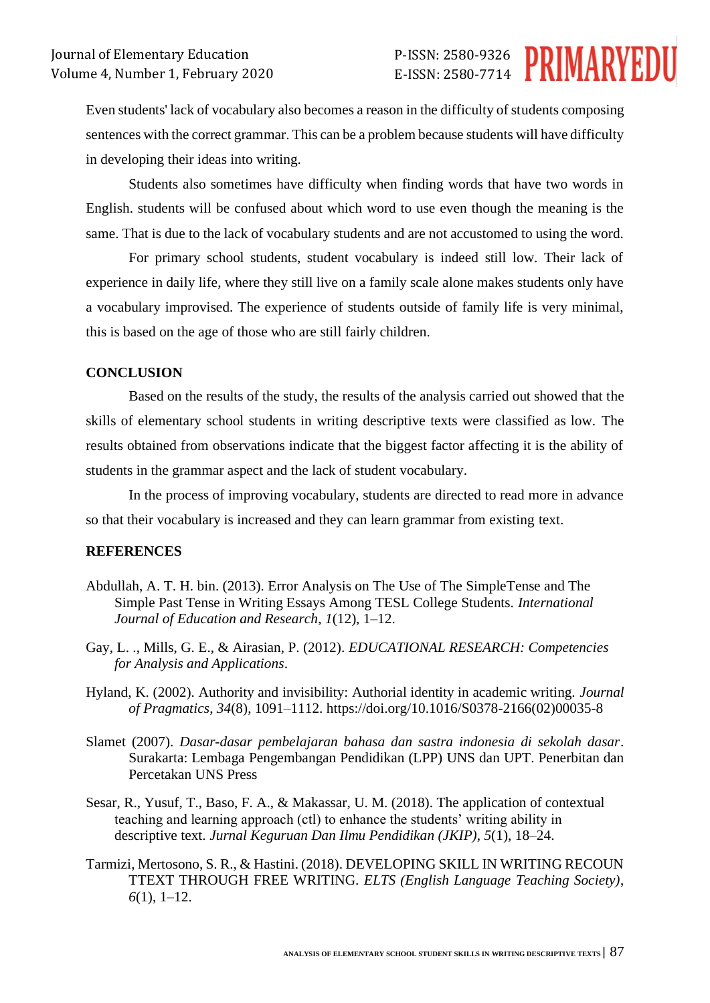Even students' lack of vocabulary also becomes a reason in the difficulty of students composing sentences with the correct grammar. This can be a problem because students will have difficulty in developing their ideas into writing.

Students also sometimes have difficulty when finding words that have two words in English. students will be confused about which word to use even though the meaning is the same. That is due to the lack of vocabulary students and are not accustomed to using the word.

For primary school students, student vocabulary is indeed still low. Their lack of experience in daily life, where they still live on a family scale alone makes students only have a vocabulary improvised. The experience of students outside of family life is very minimal, this is based on the age of those who are still fairly children.

## **CONCLUSION**

Based on the results of the study, the results of the analysis carried out showed that the skills of elementary school students in writing descriptive texts were classified as low. The results obtained from observations indicate that the biggest factor affecting it is the ability of students in the grammar aspect and the lack of student vocabulary.

In the process of improving vocabulary, students are directed to read more in advance so that their vocabulary is increased and they can learn grammar from existing text.

### **REFERENCES**

- Abdullah, A. T. H. bin. (2013). Error Analysis on The Use of The SimpleTense and The Simple Past Tense in Writing Essays Among TESL College Students. *International Journal of Education and Research*, *1*(12), 1–12.
- Gay, L. ., Mills, G. E., & Airasian, P. (2012). *EDUCATIONAL RESEARCH: Competencies for Analysis and Applications*.
- Hyland, K. (2002). Authority and invisibility: Authorial identity in academic writing. *Journal of Pragmatics*, *34*(8), 1091–1112. https://doi.org/10.1016/S0378-2166(02)00035-8
- Slamet (2007). *Dasar-dasar pembelajaran bahasa dan sastra indonesia di sekolah dasar*. Surakarta: Lembaga Pengembangan Pendidikan (LPP) UNS dan UPT. Penerbitan dan Percetakan UNS Press
- Sesar, R., Yusuf, T., Baso, F. A., & Makassar, U. M. (2018). The application of contextual teaching and learning approach (ctl) to enhance the students' writing ability in descriptive text. *Jurnal Keguruan Dan Ilmu Pendidikan (JKIP)*, *5*(1), 18–24.
- Tarmizi, Mertosono, S. R., & Hastini. (2018). DEVELOPING SKILL IN WRITING RECOUN TTEXT THROUGH FREE WRITING. *ELTS (English Language Teaching Society)*, *6*(1), 1–12.